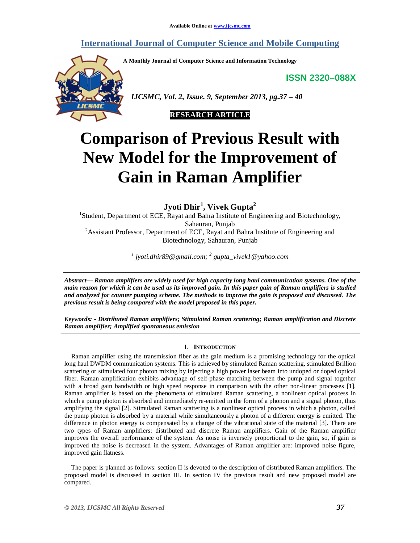## **International Journal of Computer Science and Mobile Computing**

**A Monthly Journal of Computer Science and Information Technology**

**ISSN 2320–088X**



 *IJCSMC, Vol. 2, Issue. 9, September 2013, pg.37 – 40*



# **Comparison of Previous Result with New Model for the Improvement of Gain in Raman Amplifier**

**Jyoti Dhir<sup>1</sup> , Vivek Gupta<sup>2</sup>**

<sup>1</sup>Student, Department of ECE, Rayat and Bahra Institute of Engineering and Biotechnology, Sahauran, Punjab <sup>2</sup> Assistant Professor, Department of ECE, Rayat and Bahra Institute of Engineering and Biotechnology, Sahauran, Punjab

*1 jyoti.dhir89@gmail.com; <sup>2</sup> gupta\_vivek1@yahoo.com*

*Abstract— Raman amplifiers are widely used for high capacity long haul communication systems. One of the main reason for which it can be used as its improved gain. In this paper gain of Raman amplifiers is studied and analyzed for counter pumping scheme. The methods to improve the gain is proposed and discussed. The previous result is being compared with the model proposed in this paper.*

*Keywords: - Distributed Raman amplifiers; Stimulated Raman scattering; Raman amplification and Discrete Raman amplifier; Amplified spontaneous emission*

### I. **INTRODUCTION**

Raman amplifier using the transmission fiber as the gain medium is a promising technology for the optical long haul DWDM communication systems. This is achieved by stimulated Raman scattering, stimulated Brillion scattering or stimulated four photon mixing by injecting a high power laser beam into undoped or doped optical fiber. Raman amplification exhibits advantage of self-phase matching between the pump and signal together with a broad gain bandwidth or high speed response in comparison with the other non-linear processes [1]. Raman amplifier is based on the phenomena of stimulated Raman scattering, a nonlinear optical process in which a pump photon is absorbed and immediately re-emitted in the form of a phonon and a signal photon, thus amplifying the signal [2]. Stimulated Raman scattering is a nonlinear optical process in which a photon, called the pump photon is absorbed by a material while simultaneously a photon of a different energy is emitted. The difference in photon energy is compensated by a change of the vibrational state of the material [3]. There are two types of Raman amplifiers: distributed and discrete Raman amplifiers. Gain of the Raman amplifier improves the overall performance of the system. As noise is inversely proportional to the gain, so, if gain is improved the noise is decreased in the system. Advantages of Raman amplifier are: improved noise figure, improved gain flatness.

The paper is planned as follows: section II is devoted to the description of distributed Raman amplifiers. The proposed model is discussed in section III. In section IV the previous result and new proposed model are compared.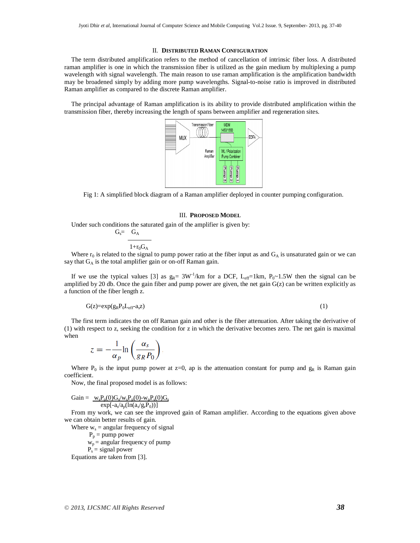#### II. **DISTRIBUTED RAMAN CONFIGURATION**

The term distributed amplification refers to the method of cancellation of intrinsic fiber loss. A distributed raman amplifier is one in which the transmission fiber is utilized as the gain medium by multiplexing a pump wavelength with signal wavelength. The main reason to use raman amplification is the amplification bandwidth may be broadened simply by adding more pump wavelengths. Signal-to-noise ratio is improved in distributed Raman amplifier as compared to the discrete Raman amplifier.

The principal advantage of Raman amplification is its ability to provide distributed amplification within the transmission fiber, thereby increasing the length of spans between amplifier and regeneration sites.



Fig 1: A simplified block diagram of a Raman amplifier deployed in counter pumping configuration.

#### III. **PROPOSED MODEL**

Under such conditions the saturated gain of the amplifier is given by:

$$
G_s = \frac{G_A}{1 + r_0 G_A}
$$

Where  $r_0$  is related to the signal to pump power ratio at the fiber input as and  $G_A$  is unsaturated gain or we can say that  $G_A$  is the total amplifier gain or on-off Raman gain.

If we use the typical values [3] as  $g_R = 3W^{-1}/km$  for a DCF,  $L_{eff}=1km$ ,  $P_0 \sim 1.5W$  then the signal can be amplified by 20 db. Once the gain fiber and pump power are given, the net gain  $G(z)$  can be written explicitly as a function of the fiber length z.

$$
G(z) = exp(g_R P_0 L_{eff} a_s z)
$$
 (1)

The first term indicates the on off Raman gain and other is the fiber attenuation. After taking the derivative of (1) with respect to z, seeking the condition for z in which the derivative becomes zero. The net gain is maximal when

$$
z=-\frac{1}{\alpha_p}\ln\left(\frac{\alpha_s}{g_R P_0}\right).
$$

Where  $P_0$  is the input pump power at z=0, ap is the attenuation constant for pump and  $g_R$  is Raman gain coefficient.

Now, the final proposed model is as follows:

$$
Gain = \underbrace{w_s P_p(0) G_s/w_s P_p(0) \textrm{-} w_p P_s(0) G_s}_{exp[-a_s/a_p (ln(a_s/g_rP_0))]}
$$

From my work, we can see the improved gain of Raman amplifier. According to the equations given above we can obtain better results of gain.

Where  $w_s$  = angular frequency of signal

 $P_p =$  pump power  $w_p$  = angular frequency of pump  $\overrightarrow{P_s}$  = signal power Equations are taken from [3].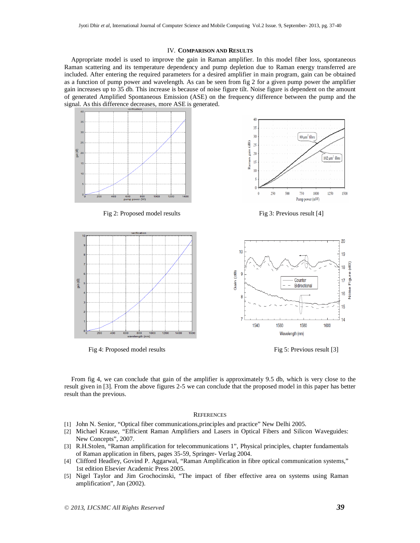#### IV. **COMPARISON AND RESULTS**

Appropriate model is used to improve the gain in Raman amplifier. In this model fiber loss, spontaneous Raman scattering and its temperature dependency and pump depletion due to Raman energy transferred are included. After entering the required parameters for a desired amplifier in main program, gain can be obtained as a function of pump power and wavelength. As can be seen from fig 2 for a given pump power the amplifier gain increases up to 35 db. This increase is because of noise figure tilt. Noise figure is dependent on the amount of generated Amplified Spontaneous Emission (ASE) on the frequency difference between the pump and the signal. As this difference decreases, more ASE is generated.



Fig 2: Proposed model results Fig 3: Previous result [4]



Fig 4: Proposed model results Fig 5: Previous result [3]





From fig 4, we can conclude that gain of the amplifier is approximately 9.5 db, which is very close to the result given in [3]. From the above figures 2-5 we can conclude that the proposed model in this paper has better result than the previous.

#### **REFERENCES**

- [1] John N. Senior, "Optical fiber communications,principles and practice" New Delhi 2005.
- [2] Michael Krause, "Efficient Raman Amplifiers and Lasers in Optical Fibers and Silicon Waveguides: New Concepts", 2007.
- [3] R.H.Stolen, "Raman amplification for telecommunications 1", Physical principles, chapter fundamentals of Raman application in fibers, pages 35-59, Springer- Verlag 2004.
- [4] Clifford Headley, Govind P. Aggarwal, "Raman Amplification in fibre optical communication systems," 1st edition Elsevier Academic Press 2005.
- [5] Nigel Taylor and Jim Grochocinski, "The impact of fiber effective area on systems using Raman amplification", Jan (2002).